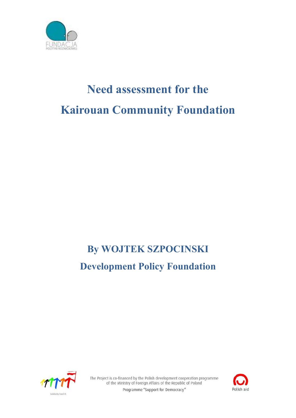

# **Need assessment for the Kairouan Community Foundation**

## **By WOJTEK SZPOCINSKI Development Policy Foundation**



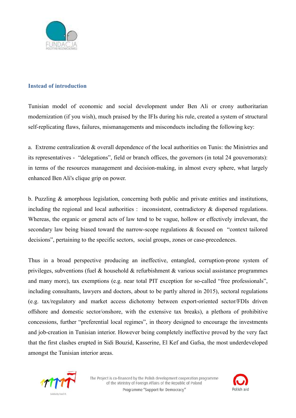

#### **Instead of introduction**

Tunisian model of economic and social development under Ben Ali or crony authoritarian modernization (if you wish), much praised by the IFIs during his rule, created a system of structural self-replicating flaws, failures, mismanagements and misconducts including the following key:

a. Extreme centralization & overall dependence of the local authorities on Tunis: the Ministries and its representatives - "delegations", field or branch offices, the governors (in total 24 gouvernorats): in terms of the resources management and decision-making, in almost every sphere, what largely enhanced Ben Ali's clique grip on power.

b. Puzzling & amorphous legislation, concerning both public and private entities and institutions, including the regional and local authorities : inconsistent, contradictory & dispersed regulations. Whereas, the organic or general acts of law tend to be vague, hollow or effectively irrelevant, the secondary law being biased toward the narrow-scope regulations & focused on "context tailored decisions", pertaining to the specific sectors, social groups, zones or case-precedences.

Thus in a broad perspective producing an ineffective, entangled, corruption-prone system of privileges, subventions (fuel & household & refurbishment & various social assistance programmes and many more), tax exemptions (e.g. near total PIT exception for so-called "free professionals", including consultants, lawyers and doctors, about to be partly altered in 2015), sectoral regulations (e.g. tax/regulatory and market access dichotomy between export-oriented sector/FDIs driven offshore and domestic sector/onshore, with the extensive tax breaks), a plethora of prohibitive concessions, further "preferential local regimes", in theory designed to encourage the investments and job-creation in Tunisian interior. However being completely ineffective proved by the very fact that the first clashes erupted in Sidi Bouzid, Kasserine, El Kef and Gafsa, the most underdeveloped amongst the Tunisian interior areas.



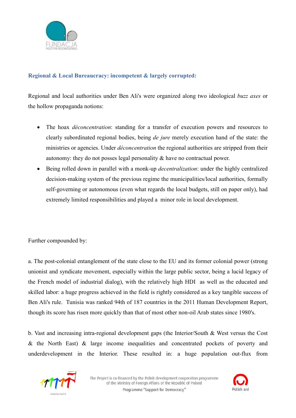

#### **Regional & Local Bureaucracy: incompetent & largely corrupted:**

Regional and local authorities under Ben Ali's were organized along two ideological *buzz axes* or the hollow propaganda notions:

- The hoax *déconcentration*: standing for a transfer of execution powers and resources to clearly subordinated regional bodies, being *de jure* merely execution hand of the state: the ministries or agencies. Under *déconcentration* the regional authorities are stripped from their autonomy: they do not posses legal personality & have no contractual power.
- Being rolled down in parallel with a monk-up *decentralization*: under the highly centralized decision-making system of the previous regime the municipalities/local authorities, formally self-governing or autonomous (even what regards the local budgets, still on paper only), had extremely limited responsibilities and played a minor role in local development.

Further compounded by:

a. The post-colonial entanglement of the state close to the EU and its former colonial power (strong unionist and syndicate movement, especially within the large public sector, being a lucid legacy of the French model of industrial dialog), with the relatively high HDI as well as the educated and skilled labor: a huge progress achieved in the field is rightly considered as a key tangible success of Ben Ali's rule. Tunisia was ranked 94th of 187 countries in the 2011 Human Development Report, though its score has risen more quickly than that of most other non-oil Arab states since 1980's.

b. Vast and increasing intra-regional development gaps (the Interior/South & West versus the Cost & the North East) & large income inequalities and concentrated pockets of poverty and underdevelopment in the Interior. These resulted in: a huge population out-flux from



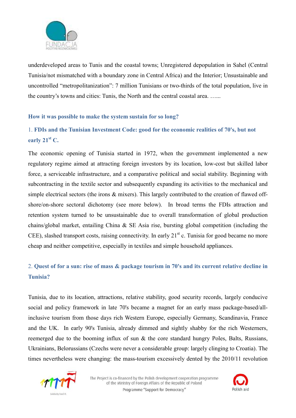

underdeveloped areas to Tunis and the coastal towns; Unregistered depopulation in Sahel (Central Tunisia/not mismatched with a boundary zone in Central Africa) and the Interior; Unsustainable and uncontrolled "metropolitanization": 7 million Tunisians or two-thirds of the total population, live in the country's towns and cities: Tunis, the North and the central coastal area. …...

#### **How it was possible to make the system sustain for so long?**

### 1. **FDIs and the Tunisian Investment Code: good for the economic realities of 70's, but not early 21st C.**

The economic opening of Tunisia started in 1972, when the government implemented a new regulatory regime aimed at attracting foreign investors by its location, low-cost but skilled labor force, a serviceable infrastructure, and a comparative political and social stability. Beginning with subcontracting in the textile sector and subsequently expanding its activities to the mechanical and simple electrical sectors (the irons & mixers). This largely contributed to the creation of flawed offshore/on-shore sectoral dichotomy (see more below). In broad terms the FDIs attraction and retention system turned to be unsustainable due to overall transformation of global production chains/global market, entailing China & SE Asia rise, bursting global competition (including the CEE), slashed transport costs, raising connectivity. In early  $21<sup>st</sup>$  c. Tunisia for good became no more cheap and neither competitive, especially in textiles and simple household appliances.

## 2. **Quest of for a sun: rise of mass & package tourism in 70's and its current relative decline in Tunisia?**

Tunisia, due to its location, attractions, relative stability, good security records, largely conducive social and policy framework in late 70's became a magnet for an early mass package-based/allinclusive tourism from those days rich Western Europe, especially Germany, Scandinavia, France and the UK. In early 90's Tunisia, already dimmed and sightly shabby for the rich Westerners, reemerged due to the booming influx of sun & the core standard hungry Poles, Balts, Russians, Ukrainians, Belorussians (Czechs were never a considerable group: largely clinging to Croatia). The times nevertheless were changing: the mass-tourism excessively dented by the 2010/11 revolution



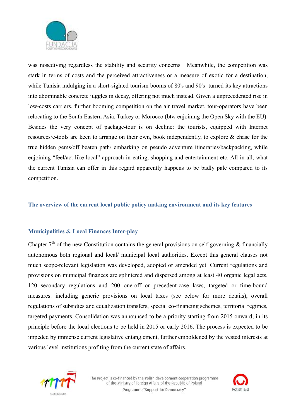

was nosediving regardless the stability and security concerns. Meanwhile, the competition was stark in terms of costs and the perceived attractiveness or a measure of exotic for a destination, while Tunisia indulging in a short-sighted tourism booms of 80's and 90's turned its key attractions into abominable concrete juggles in decay, offering not much instead. Given a unprecedented rise in low-costs carriers, further booming competition on the air travel market, tour-operators have been relocating to the South Eastern Asia, Turkey or Morocco (btw enjoining the Open Sky with the EU). Besides the very concept of package-tour is on decline: the tourists, equipped with Internet resources/e-tools are keen to arrange on their own, book independently, to explore & chase for the true hidden gems/off beaten path/ embarking on pseudo adventure itineraries/backpacking, while enjoining "feel/act-like local" approach in eating, shopping and entertainment etc. All in all, what the current Tunisia can offer in this regard apparently happens to be badly pale compared to its competition.

#### **The overview of the current local public policy making environment and its key features**

#### **Municipalities & Local Finances Inter-play**

Chapter  $7<sup>th</sup>$  of the new Constitution contains the general provisions on self-governing & financially autonomous both regional and local/ municipal local authorities. Except this general clauses not much scope-relevant legislation was developed, adopted or amended yet. Current regulations and provisions on municipal finances are splintered and dispersed among at least 40 organic legal acts, 120 secondary regulations and 200 one-off or precedent-case laws, targeted or time-bound measures: including generic provisions on local taxes (see below for more details), overall regulations of subsidies and equalization transfers, special co-financing schemes, territorial regimes, targeted payments. Consolidation was announced to be a priority starting from 2015 onward, in its principle before the local elections to be held in 2015 or early 2016. The process is expected to be impeded by immense current legislative entanglement, further emboldened by the vested interests at various level institutions profiting from the current state of affairs.



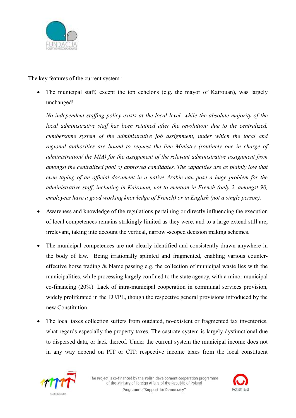

The key features of the current system :

• The municipal staff, except the top echelons (e.g. the mayor of Kairouan), was largely unchanged!

*No independent staffing policy exists at the local level, while the absolute majority of the local administrative staff has been retained after the revolution: due to the centralized, cumbersome system of the administrative job assignment, under which the local and regional authorities are bound to request the line Ministry (routinely one in charge of administration/ the MIA) for the assignment of the relevant administrative assignment from amongst the centralized pool of approved candidates. The capacities are as plainly low that even taping of an official document in a native Arabic can pose a huge problem for the administrative staff, including in Kairouan, not to mention in French (only 2, amongst 90, employees have a good working knowledge of French) or in English (not a single person).* 

- Awareness and knowledge of the regulations pertaining or directly influencing the execution of local competences remains strikingly limited as they were, and to a large extend still are, irrelevant, taking into account the vertical, narrow -scoped decision making schemes.
- The municipal competences are not clearly identified and consistently drawn anywhere in the body of law. Being irrationally splinted and fragmented, enabling various countereffective horse trading & blame passing e.g. the collection of municipal waste lies with the municipalities, while processing largely confined to the state agency, with a minor municipal co-financing (20%). Lack of intra-municipal cooperation in communal services provision, widely proliferated in the EU/PL, though the respective general provisions introduced by the new Constitution.
- The local taxes collection suffers from outdated, no-existent or fragmented tax inventories, what regards especially the property taxes. The castrate system is largely dysfunctional due to dispersed data, or lack thereof. Under the current system the municipal income does not in any way depend on PIT or CIT: respective income taxes from the local constituent



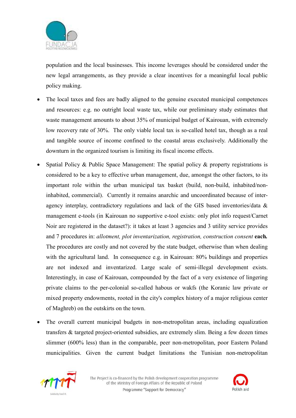

population and the local businesses. This income leverages should be considered under the new legal arrangements, as they provide a clear incentives for a meaningful local public policy making.

- The local taxes and fees are badly aligned to the genuine executed municipal competences and resources: e.g. no outright local waste tax, while our preliminary study estimates that waste management amounts to about 35% of municipal budget of Kairouan, with extremely low recovery rate of 30%. The only viable local tax is so-called hotel tax, though as a real and tangible source of income confined to the coastal areas exclusively. Additionally the downturn in the organized tourism is limiting its fiscal income effects.
- Spatial Policy & Public Space Management: The spatial policy & property registrations is considered to be a key to effective urban management, due, amongst the other factors, to its important role within the urban municipal tax basket (build, non-build, inhabited/noninhabited, commercial). Currently it remains anarchic and uncoordinated because of interagency interplay, contradictory regulations and lack of the GIS based inventories/data & management e-tools (in Kairouan no supportive e-tool exists: only plot info request/Carnet Noir are registered in the dataset?): it takes at least 3 agencies and 3 utility service provides and 7 procedures in: *allotment, plot inventarization, registration, construction consent* each. The procedures are costly and not covered by the state budget, otherwise than when dealing with the agricultural land. In consequence e.g. in Kairouan: 80% buildings and properties are not indexed and inventarized. Large scale of semi-illegal development exists. Interestingly, in case of Kairouan, compounded by the fact of a very existence of lingering private claims to the per-colonial so-called habous or wakfs (the Koranic law private or mixed property endowments, rooted in the city's complex history of a major religious center of Maghreb) on the outskirts on the town.
- The overall current municipal budgets in non-metropolitan areas, including equalization transfers & targeted project-oriented subsidies, are extremely slim. Being a few dozen times slimmer (600% less) than in the comparable, peer non-metropolitan, poor Eastern Poland municipalities. Given the current budget limitations the Tunisian non-metropolitan



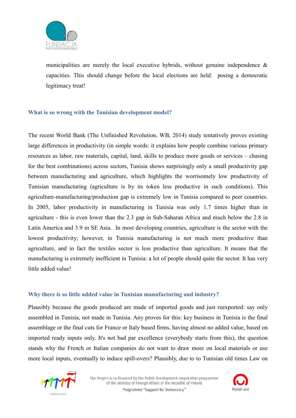

municipalities are merely the local executive hybrids, without genuine independence & capacities. This should change before the local elections are held: posing a democratic legitimacy treat!

#### **What is so wrong with the Tunisian development model?**

The recent World Bank (The Unfinished Revolution, WB, 2014) study tentatively proves existing large differences in productivity (in simple words: it explains how people combine various primary resources as labor, raw materials, capital, land, skills to produce more goods or services – chasing for the best combinations) across sectors, Tunisia shows surprisingly only a small productivity gap between manufacturing and agriculture, which highlights the worrisomely low productivity of Tunisian manufacturing (agriculture is by its token less productive in such conditions). This agriculture-manufacturing/production gap is extremely low in Tunisia compared to peer countries. In 2005, labor productivity in manufacturing in Tunisia was only 1.7 times higher than in agriculture - this is even lower than the 2.3 gap in Sub-Saharan Africa and much below the 2.8 in Latin America and 3.9 in SE Asia. In most developing countries, agriculture is the sector with the lowest productivity; however, in Tunisia manufacturing is not much more productive than agriculture, and in fact the textiles sector is less productive than agriculture. It means that the manufacturing is extremely inefficient in Tunisia: a lot of people should quite the sector. It has very little added value!

#### **Why there is so little added value in Tunisian manufacturing and industry?**

Plausibly because the goods produced are made of imported goods and just reexported: say only assembled in Tunisia, not made in Tunisia. Any proves for this: key business in Tunisia is the final assemblage or the final cuts for France or Italy based firms, having almost no added value, based on imported ready inputs only. It's not bad par excellence (everybody starts from this), the question stands why the French or Italian companies do not want to draw more on local materials or use more local inputs, eventually to induce spill-overs? Plausibly, due to to Tunisian old times Law on



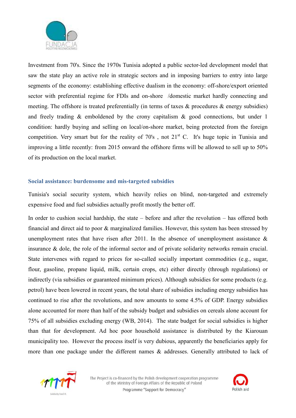

Investment from 70's. Since the 1970s Tunisia adopted a public sector-led development model that saw the state play an active role in strategic sectors and in imposing barriers to entry into large segments of the economy: establishing effective dualism in the economy: off-shore/export oriented sector with preferential regime for FDIs and on-shore /domestic market hardly connecting and meeting. The offshore is treated preferentially (in terms of taxes  $\&$  procedures  $\&$  energy subsidies) and freely trading & emboldened by the crony capitalism & good connections, but under 1 condition: hardly buying and selling on local/on-shore market, being protected from the foreign competition. Very smart but for the reality of  $70's$ , not  $21<sup>st</sup>$  C. It's huge topic in Tunisia and improving a little recently: from 2015 onward the offshore firms will be allowed to sell up to 50% of its production on the local market.

#### **Social assistance: burdensome and mis-targeted subsidies**

Tunisia's social security system, which heavily relies on blind, non-targeted and extremely expensive food and fuel subsidies actually profit mostly the better off.

In order to cushion social hardship, the state – before and after the revolution – has offered both financial and direct aid to poor & marginalized families. However, this system has been stressed by unemployment rates that have risen after 2011. In the absence of unemployment assistance  $\&$ insurance & dole, the role of the informal sector and of private solidarity networks remain crucial. State intervenes with regard to prices for so-called socially important commodities (e.g., sugar, flour, gasoline, propane liquid, milk, certain crops, etc) either directly (through regulations) or indirectly (via subsidies or guaranteed minimum prices). Although subsidies for some products (e.g. petrol) have been lowered in recent years, the total share of subsidies including energy subsidies has continued to rise after the revolutions, and now amounts to some 4.5% of GDP. Energy subsidies alone accounted for more than half of the subsidy budget and subsidies on cereals alone account for 75% of all subsidies excluding energy (WB, 2014). The state budget for social subsidies is higher than that for development. Ad hoc poor household assistance is distributed by the Kiarouan municipality too. However the process itself is very dubious, apparently the beneficiaries apply for more than one package under the different names & addresses. Generally attributed to lack of



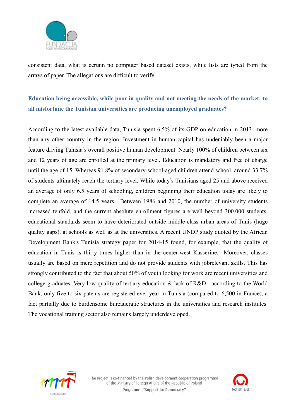

consistent data, what is certain no computer based dataset exists, while lists are typed from the arrays of paper. The allegations are difficult to verify.

## **Education being accessible, while poor in quality and not meeting the needs of the market: to all misfortune the Tunisian universities are producing unemployed graduates?**

According to the latest available data, Tunisia spent 6.5% of its GDP on education in 2013, more than any other country in the region. Investment in human capital has undeniably been a major feature driving Tunisia's overall positive human development. Nearly 100% of children between six and 12 years of age are enrolled at the primary level. Education is mandatory and free of charge until the age of 15. Whereas 91.8% of secondary-school-aged children attend school, around 33.7% of students ultimately reach the tertiary level. While today's Tunisians aged 25 and above received an average of only 6.5 years of schooling, children beginning their education today are likely to complete an average of 14.5 years. Between 1986 and 2010, the number of university students increased tenfold, and the current absolute enrollment figures are well beyond 300,000 students. educational standards seem to have deteriorated outside middle-class urban areas of Tunis (huge quality gaps), at schools as well as at the universities. A recent UNDP study quoted by the African Development Bank's Tunisia strategy paper for 2014-15 found, for example, that the quality of education in Tunis is thirty times higher than in the center-west Kasserine. Moreover, classes usually are based on mere repetition and do not provide students with jobrelevant skills. This has strongly contributed to the fact that about 50% of youth looking for work are recent universities and college graduates. Very low quality of tertiary education & lack of R&D: according to the World Bank, only five to six patents are registered ever year in Tunisia (compared to 6,500 in France), a fact partially due to burdensome bureaucratic structures in the universities and research institutes. The vocational training sector also remains largely underdeveloped.



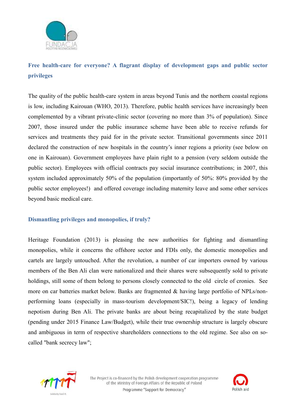

## **Free health-care for everyone? A flagrant display of development gaps and public sector privileges**

The quality of the public health-care system in areas beyond Tunis and the northern coastal regions is low, including Kairouan (WHO, 2013). Therefore, public health services have increasingly been complemented by a vibrant private-clinic sector (covering no more than 3% of population). Since 2007, those insured under the public insurance scheme have been able to receive refunds for services and treatments they paid for in the private sector. Transitional governments since 2011 declared the construction of new hospitals in the country's inner regions a priority (see below on one in Kairouan). Government employees have plain right to a pension (very seldom outside the public sector). Employees with official contracts pay social insurance contributions; in 2007, this system included approximately 50% of the population (importantly of 50%: 80% provided by the public sector employees!) and offered coverage including maternity leave and some other services beyond basic medical care.

#### **Dismantling privileges and monopolies, if truly?**

Heritage Foundation (2013) is pleasing the new authorities for fighting and dismantling monopolies, while it concerns the offshore sector and FDIs only, the domestic monopolies and cartels are largely untouched. After the revolution, a number of car importers owned by various members of the Ben Ali clan were nationalized and their shares were subsequently sold to private holdings, still some of them belong to persons closely connected to the old circle of cronies. See more on car batteries market below. Banks are fragmented & having large portfolio of NPLs/nonperforming loans (especially in mass-tourism development/SIC!), being a legacy of lending nepotism during Ben Ali. The private banks are about being recapitalized by the state budget (pending under 2015 Finance Law/Budget), while their true ownership structure is largely obscure and ambiguous in term of respective shareholders connections to the old regime. See also on socalled "bank secrecy law";



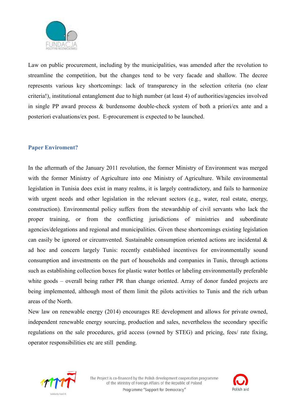

Law on public procurement, including by the municipalities, was amended after the revolution to streamline the competition, but the changes tend to be very facade and shallow. The decree represents various key shortcomings: lack of transparency in the selection criteria (no clear criteria!), institutional entanglement due to high number (at least 4) of authorities/agencies involved in single PP award process & burdensome double-check system of both a priori/ex ante and a posteriori evaluations/ex post. E-procurement is expected to be launched.

#### **Paper Enviroment?**

In the aftermath of the January 2011 revolution, the former Ministry of Environment was merged with the former Ministry of Agriculture into one Ministry of Agriculture. While environmental legislation in Tunisia does exist in many realms, it is largely contradictory, and fails to harmonize with urgent needs and other legislation in the relevant sectors (e.g., water, real estate, energy, construction). Environmental policy suffers from the stewardship of civil servants who lack the proper training, or from the conflicting jurisdictions of ministries and subordinate agencies/delegations and regional and municipalities. Given these shortcomings existing legislation can easily be ignored or circumvented. Sustainable consumption oriented actions are incidental & ad hoc and concern largely Tunis: recently established incentives for environmentally sound consumption and investments on the part of households and companies in Tunis, through actions such as establishing collection boxes for plastic water bottles or labeling environmentally preferable white goods – overall being rather PR than change oriented. Array of donor funded projects are being implemented, although most of them limit the pilots activities to Tunis and the rich urban areas of the North.

New law on renewable energy (2014) encourages RE development and allows for private owned, independent renewable energy sourcing, production and sales, nevertheless the secondary specific regulations on the sale procedures, grid access (owned by STEG) and pricing, fees/ rate fixing, operator responsibilities etc are still pending.



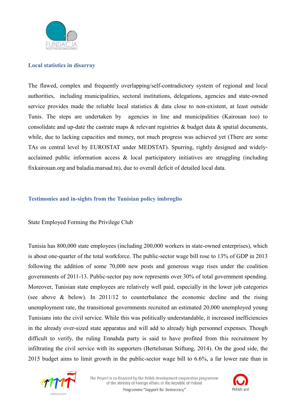

#### **Local statistics in disarray**

The flawed, complex and frequently overlapping/self-contradictory system of regional and local authorities, including municipalities, sectoral institutions, delegations, agencies and state-owned service provides made the reliable local statistics & data close to non-existent, at least outside Tunis. The steps are undertaken by agencies in line and municipalities (Kairouan too) to consolidate and up-date the castrate maps & relevant registries & budget data & spatial documents, while, due to lacking capacities and money, not much progress was achieved yet (There are some TAs on central level by EUROSTAT under MEDSTAT). Spurring, rightly designed and widelyacclaimed public information access & local participatory initiatives are struggling (including fixkairouan.org and baladia.marsad.tn), due to overall deficit of detailed local data.

#### **Testimonies and in-sights from the Tunisian policy imbroglio**

#### State Employed Forming the Privilege Club

Tunisia has 800,000 state employees (including 200,000 workers in state-owned enterprises), which is about one-quarter of the total workforce. The public-sector wage bill rose to 13% of GDP in 2013 following the addition of some 70,000 new posts and generous wage rises under the coalition governments of 2011-13. Public-sector pay now represents over 30% of total government spending. Moreover, Tunisian state employees are relatively well paid, especially in the lower job categories (see above & below). In 2011/12 to counterbalance the economic decline and the rising unemployment rate, the transitional governments recruited an estimated 20,000 unemployed young Tunisians into the civil service. While this was politically understandable, it increased inefficiencies in the already over-sized state apparatus and will add to already high personnel expenses. Though difficult to verify, the ruling Ennahda party is said to have profited from this recruitment by infiltrating the civil service with its supporters (Bertelsman Stiftung, 2014). On the good side, the 2015 budget aims to limit growth in the public-sector wage bill to 6.6%, a far lower rate than in



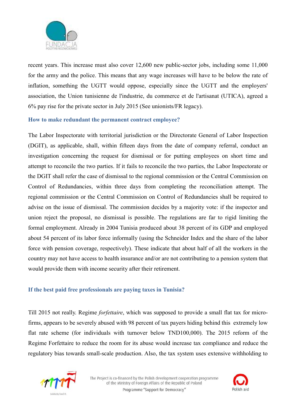

recent years. This increase must also cover 12,600 new public-sector jobs, including some 11,000 for the army and the police. This means that any wage increases will have to be below the rate of inflation, something the UGTT would oppose, especially since the UGTT and the employers' association, the Union tunisienne de l'industrie, du commerce et de l'artisanat (UTICA), agreed a 6% pay rise for the private sector in July 2015 (See unionists/FR legacy).

#### **How to make redundant the permanent contract employee?**

The Labor Inspectorate with territorial jurisdiction or the Directorate General of Labor Inspection (DGIT), as applicable, shall, within fifteen days from the date of company referral, conduct an investigation concerning the request for dismissal or for putting employees on short time and attempt to reconcile the two parties. If it fails to reconcile the two parties, the Labor Inspectorate or the DGIT shall refer the case of dismissal to the regional commission or the Central Commission on Control of Redundancies, within three days from completing the reconciliation attempt. The regional commission or the Central Commission on Control of Redundancies shall be required to advise on the issue of dismissal. The commission decides by a majority vote: if the inspector and union reject the proposal, no dismissal is possible. The regulations are far to rigid limiting the formal employment. Already in 2004 Tunisia produced about 38 percent of its GDP and employed about 54 percent of its labor force informally (using the Schneider Index and the share of the labor force with pension coverage, respectively). These indicate that about half of all the workers in the country may not have access to health insurance and/or are not contributing to a pension system that would provide them with income security after their retirement.

#### **If the best paid free professionals are paying taxes in Tunisia?**

Till 2015 not really. Regime *forfettaire*, which was supposed to provide a small flat tax for microfirms, appears to be severely abused with 98 percent of tax payers hiding behind this extremely low flat rate scheme (for individuals with turnover below TND100,000). The 2015 reform of the Regime Forfettaire to reduce the room for its abuse would increase tax compliance and reduce the regulatory bias towards small-scale production. Also, the tax system uses extensive withholding to



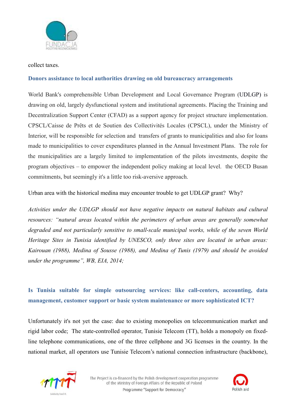

#### collect taxes.

#### **Donors assistance to local authorities drawing on old bureaucracy arrangements**

World Bank's comprehensible Urban Development and Local Governance Program (UDLGP) is drawing on old, largely dysfunctional system and institutional agreements. Placing the Training and Decentralization Support Center (CFAD) as a support agency for project structure implementation. CPSCL/Caisse de Prêts et de Soutien des Collectivités Locales (CPSCL), under the Ministry of Interior, will be responsible for selection and transfers of grants to municipalities and also for loans made to municipalities to cover expenditures planned in the Annual Investment Plans. The role for the municipalities are a largely limited to implementation of the pilots investments, despite the program objectives – to empower the independent policy making at local level. the OECD Busan commitments, but seemingly it's a little too risk-aversive approach.

Urban area with the historical medina may encounter trouble to get UDLGP grant? Why?

*Activities under the UDLGP should not have negative impacts on natural habitats and cultural resources: "natural areas located within the perimeters of urban areas are generally somewhat degraded and not particularly sensitive to small-scale municipal works, while of the seven World Heritage Sites in Tunisia identified by UNESCO, only three sites are located in urban areas: Kairouan (1988), Medina of Sousse (1988), and Medina of Tunis (1979) and should be avoided under the programme", WB, EIA, 2014;* 

## **Is Tunisia suitable for simple outsourcing services: like call-centers, accounting, data management, customer support or basic system maintenance or more sophisticated ICT?**

Unfortunately it's not yet the case: due to existing monopolies on telecommunication market and rigid labor code; The state-controlled operator, Tunisie Telecom (TT), holds a monopoly on fixedline telephone communications, one of the three cellphone and 3G licenses in the country. In the national market, all operators use Tunisie Telecom's national connection infrastructure (backbone),



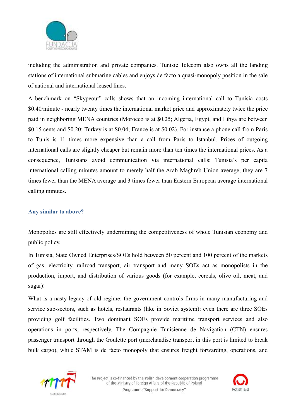

including the administration and private companies. Tunisie Telecom also owns all the landing stations of international submarine cables and enjoys de facto a quasi-monopoly position in the sale of national and international leased lines.

A benchmark on "Skypeout" calls shows that an incoming international call to Tunisia costs \$0.40/minute - nearly twenty times the international market price and approximately twice the price paid in neighboring MENA countries (Morocco is at \$0.25; Algeria, Egypt, and Libya are between \$0.15 cents and \$0.20; Turkey is at \$0.04; France is at \$0.02). For instance a phone call from Paris to Tunis is 11 times more expensive than a call from Paris to Istanbul. Prices of outgoing international calls are slightly cheaper but remain more than ten times the international prices. As a consequence, Tunisians avoid communication via international calls: Tunisia's per capita international calling minutes amount to merely half the Arab Maghreb Union average, they are 7 times fewer than the MENA average and 3 times fewer than Eastern European average international calling minutes.

#### **Any similar to above?**

Monopolies are still effectively undermining the competitiveness of whole Tunisian economy and public policy.

In Tunisia, State Owned Enterprises/SOEs hold between 50 percent and 100 percent of the markets of gas, electricity, railroad transport, air transport and many SOEs act as monopolists in the production, import, and distribution of various goods (for example, cereals, olive oil, meat, and sugar)!

What is a nasty legacy of old regime: the government controls firms in many manufacturing and service sub-sectors, such as hotels, restaurants (like in Soviet system): even there are three SOEs providing golf facilities. Two dominant SOEs provide maritime transport services and also operations in ports, respectively. The Compagnie Tunisienne de Navigation (CTN) ensures passenger transport through the Goulette port (merchandise transport in this port is limited to break bulk cargo), while STAM is de facto monopoly that ensures freight forwarding, operations, and



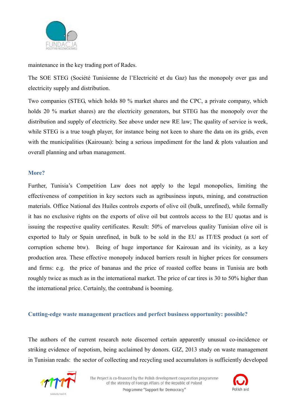

maintenance in the key trading port of Rades.

The SOE STEG (Société Tunisienne de l'Electricité et du Gaz) has the monopoly over gas and electricity supply and distribution.

Two companies (STEG, which holds 80 % market shares and the CPC, a private company, which holds 20 % market shares) are the electricity generators, but STEG has the monopoly over the distribution and supply of electricity. See above under new RE law; The quality of service is week, while STEG is a true tough player, for instance being not keen to share the data on its grids, even with the municipalities (Kairouan): being a serious impediment for the land & plots valuation and overall planning and urban management.

#### **More?**

Further, Tunisia's Competition Law does not apply to the legal monopolies, limiting the effectiveness of competition in key sectors such as agribusiness inputs, mining, and construction materials. Office National des Huiles controls exports of olive oil (bulk, unrefined), while formally it has no exclusive rights on the exports of olive oil but controls access to the EU quotas and is issuing the respective quality certificates. Result: 50% of marvelous quality Tunisian olive oil is exported to Italy or Spain unrefined, in bulk to be sold in the EU as IT/ES product (a sort of corruption scheme btw). Being of huge importance for Kairouan and its vicinity, as a key production area. These effective monopoly induced barriers result in higher prices for consumers and firms: e.g. the price of bananas and the price of roasted coffee beans in Tunisia are both roughly twice as much as in the international market. The price of car tires is 30 to 50% higher than the international price. Certainly, the contraband is booming.

#### **Cutting-edge waste management practices and perfect business opportunity: possible?**

The authors of the current research note discerned certain apparently unusual co-incidence or striking evidence of nepotism, being acclaimed by donors. GIZ, 2013 study on waste management in Tunisian reads: the sector of collecting and recycling used accumulators is sufficiently developed



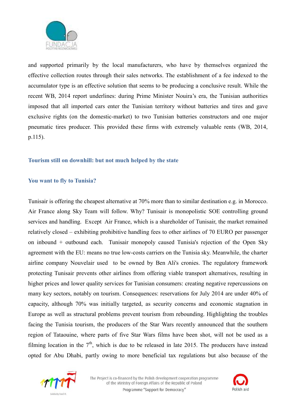

and supported primarily by the local manufacturers, who have by themselves organized the effective collection routes through their sales networks. The establishment of a fee indexed to the accumulator type is an effective solution that seems to be producing a conclusive result. While the recent WB, 2014 report underlines: during Prime Minister Nouira's era, the Tunisian authorities imposed that all imported cars enter the Tunisian territory without batteries and tires and gave exclusive rights (on the domestic-market) to two Tunisian batteries constructors and one major pneumatic tires producer. This provided these firms with extremely valuable rents (WB, 2014, p.115).

#### **Tourism still on downhill: but not much helped by the state**

#### **You want to fly to Tunisia?**

Tunisair is offering the cheapest alternative at 70% more than to similar destination e.g. in Morocco. Air France along Sky Team will follow. Why? Tunisair is monopolistic SOE controlling ground services and handling. Except Air France, which is a shareholder of Tunisair, the market remained relatively closed – exhibiting prohibitive handling fees to other airlines of 70 EURO per passenger on inbound + outbound each. Tunisair monopoly caused Tunisia's rejection of the Open Sky agreement with the EU: means no true low-costs carriers on the Tunisia sky. Meanwhile, the charter airline company Nouvelair used to be owned by Ben Ali's cronies. The regulatory framework protecting Tunisair prevents other airlines from offering viable transport alternatives, resulting in higher prices and lower quality services for Tunisian consumers: creating negative repercussions on many key sectors, notably on tourism. Consequences: reservations for July 2014 are under 40% of capacity, although 70% was initially targeted, as security concerns and economic stagnation in Europe as well as structural problems prevent tourism from rebounding. Highlighting the troubles facing the Tunisia tourism, the producers of the Star Wars recently announced that the southern region of Tataouine, where parts of five Star Wars films have been shot, will not be used as a filming location in the  $7<sup>th</sup>$ , which is due to be released in late 2015. The producers have instead opted for Abu Dhabi, partly owing to more beneficial tax regulations but also because of the